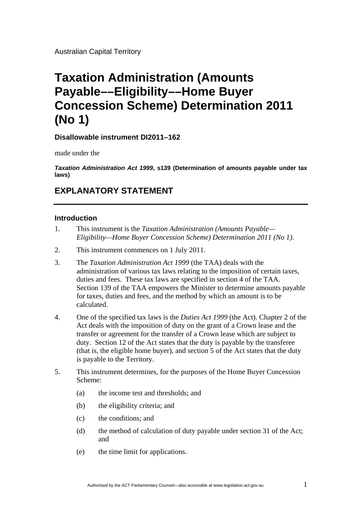Australian Capital Territory

# **Taxation Administration (Amounts Payable––Eligibility––Home Buyer Concession Scheme) Determination 2011 (No 1)**

# **Disallowable instrument DI2011–162**

made under the

*Taxation Administration Act 1999***, s139 (Determination of amounts payable under tax laws)**

# **EXPLANATORY STATEMENT**

### **Introduction**

- 1. This instrument is the *Taxation Administration (Amounts Payable— Eligibility—Home Buyer Concession Scheme) Determination 2011 (No 1)*.
- 2. This instrument commences on 1 July 2011.
- 3. The *Taxation Administration Act 1999* (the TAA) deals with the administration of various tax laws relating to the imposition of certain taxes, duties and fees. These tax laws are specified in section 4 of the TAA. Section 139 of the TAA empowers the Minister to determine amounts payable for taxes, duties and fees, and the method by which an amount is to be calculated.
- 4. One of the specified tax laws is the *Duties Act 1999* (the Act). Chapter 2 of the Act deals with the imposition of duty on the grant of a Crown lease and the transfer or agreement for the transfer of a Crown lease which are subject to duty. Section 12 of the Act states that the duty is payable by the transferee (that is, the eligible home buyer)*,* and section 5 of the Act states that the duty is payable to the Territory.
- 5. This instrument determines, for the purposes of the Home Buyer Concession Scheme:
	- (a) the income test and thresholds; and
	- (b) the eligibility criteria; and
	- (c) the conditions; and
	- (d) the method of calculation of duty payable under section 31 of the Act; and
	- (e) the time limit for applications.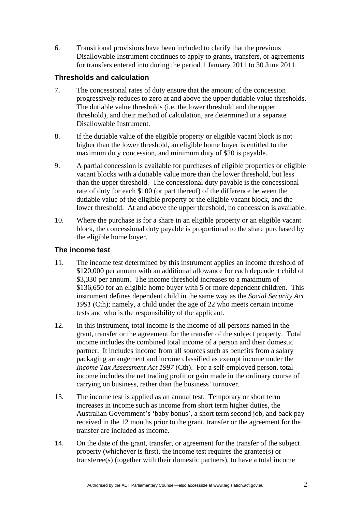6. Transitional provisions have been included to clarify that the previous Disallowable Instrument continues to apply to grants, transfers, or agreements for transfers entered into during the period 1 January 2011 to 30 June 2011.

# **Thresholds and calculation**

- 7. The concessional rates of duty ensure that the amount of the concession progressively reduces to zero at and above the upper dutiable value thresholds. The dutiable value thresholds (i.e. the lower threshold and the upper threshold), and their method of calculation, are determined in a separate Disallowable Instrument.
- 8. If the dutiable value of the eligible property or eligible vacant block is not higher than the lower threshold, an eligible home buyer is entitled to the maximum duty concession, and minimum duty of \$20 is payable.
- 9. A partial concession is available for purchases of eligible properties or eligible vacant blocks with a dutiable value more than the lower threshold, but less than the upper threshold. The concessional duty payable is the concessional rate of duty for each \$100 (or part thereof) of the difference between the dutiable value of the eligible property or the eligible vacant block, and the lower threshold. At and above the upper threshold, no concession is available.
- 10. Where the purchase is for a share in an eligible property or an eligible vacant block, the concessional duty payable is proportional to the share purchased by the eligible home buyer.

# **The income test**

- 11. The income test determined by this instrument applies an income threshold of \$120,000 per annum with an additional allowance for each dependent child of \$3,330 per annum. The income threshold increases to a maximum of \$136,650 for an eligible home buyer with 5 or more dependent children. This instrument defines dependent child in the same way as the *Social Security Act 1991* (Cth); namely, a child under the age of 22 who meets certain income tests and who is the responsibility of the applicant.
- 12. In this instrument, total income is the income of all persons named in the grant, transfer or the agreement for the transfer of the subject property. Total income includes the combined total income of a person and their domestic partner. It includes income from all sources such as benefits from a salary packaging arrangement and income classified as exempt income under the *Income Tax Assessment Act 1997* (Cth). For a self-employed person, total income includes the net trading profit or gain made in the ordinary course of carrying on business, rather than the business' turnover.
- 13. The income test is applied as an annual test. Temporary or short term increases in income such as income from short term higher duties, the Australian Government's 'baby bonus', a short term second job, and back pay received in the 12 months prior to the grant, transfer or the agreement for the transfer are included as income.
- 14. On the date of the grant, transfer, or agreement for the transfer of the subject property (whichever is first), the income test requires the grantee(s) or transferee(s) (together with their domestic partners), to have a total income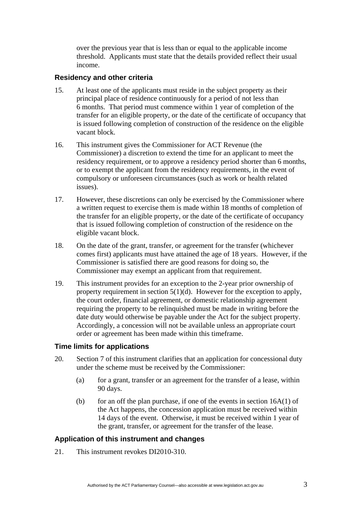over the previous year that is less than or equal to the applicable income threshold. Applicants must state that the details provided reflect their usual income.

### **Residency and other criteria**

- 15. At least one of the applicants must reside in the subject property as their principal place of residence continuously for a period of not less than 6 months. That period must commence within 1 year of completion of the transfer for an eligible property, or the date of the certificate of occupancy that is issued following completion of construction of the residence on the eligible vacant block.
- 16. This instrument gives the Commissioner for ACT Revenue (the Commissioner) a discretion to extend the time for an applicant to meet the residency requirement, or to approve a residency period shorter than 6 months, or to exempt the applicant from the residency requirements, in the event of compulsory or unforeseen circumstances (such as work or health related issues).
- 17. However, these discretions can only be exercised by the Commissioner where a written request to exercise them is made within 18 months of completion of the transfer for an eligible property, or the date of the certificate of occupancy that is issued following completion of construction of the residence on the eligible vacant block.
- 18. On the date of the grant, transfer, or agreement for the transfer (whichever comes first) applicants must have attained the age of 18 years. However, if the Commissioner is satisfied there are good reasons for doing so, the Commissioner may exempt an applicant from that requirement.
- 19. This instrument provides for an exception to the 2-year prior ownership of property requirement in section 5(1)(d). However for the exception to apply, the court order, financial agreement, or domestic relationship agreement requiring the property to be relinquished must be made in writing before the date duty would otherwise be payable under the Act for the subject property. Accordingly, a concession will not be available unless an appropriate court order or agreement has been made within this timeframe.

#### **Time limits for applications**

- 20. Section 7 of this instrument clarifies that an application for concessional duty under the scheme must be received by the Commissioner:
	- (a) for a grant, transfer or an agreement for the transfer of a lease, within 90 days.
	- (b) for an off the plan purchase, if one of the events in section  $16A(1)$  of the Act happens, the concession application must be received within 14 days of the event. Otherwise, it must be received within 1 year of the grant, transfer, or agreement for the transfer of the lease.

# **Application of this instrument and changes**

21. This instrument revokes DI2010-310.